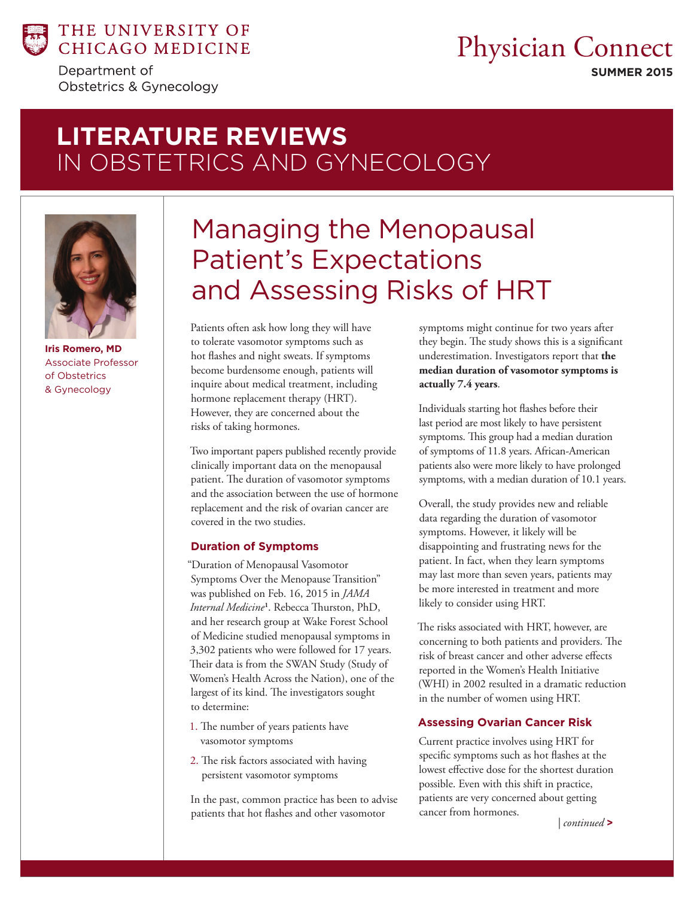

Department of Obstetrics & Gynecology

# Physician Connect

**SUMMER 2015**

# LITERATURE REVIEWS IN OBSTETRICS AND GYNECOLOGY **SPAINE AND A**



**Iris Romero, MD** Associate Professor of Obstetrics & Gynecology

# Managing the Menopausal Patient's Expectations and Assessing Risks of HRT

Patients often ask how long they will have to tolerate vasomotor symptoms such as hot flashes and night sweats. If symptoms become burdensome enough, patients will inquire about medical treatment, including hormone replacement therapy (HRT). However, they are concerned about the risks of taking hormones.

Two important papers published recently provide clinically important data on the menopausal patient. The duration of vasomotor symptoms and the association between the use of hormone replacement and the risk of ovarian cancer are covered in the two studies.

#### **Duration of Symptoms**

"Duration of Menopausal Vasomotor Symptoms Over the Menopause Transition" was published on Feb. 16, 2015 in *JAMA Internal Medicine***<sup>1</sup>** . Rebecca Thurston, PhD, and her research group at Wake Forest School of Medicine studied menopausal symptoms in 3,302 patients who were followed for 17 years. Their data is from the SWAN Study (Study of Women's Health Across the Nation), one of the largest of its kind. The investigators sought to determine:

- 1. The number of years patients have vasomotor symptoms
- 2. The risk factors associated with having persistent vasomotor symptoms

In the past, common practice has been to advise patients that hot flashes and other vasomotor

symptoms might continue for two years after they begin. The study shows this is a significant underestimation. Investigators report that **the median duration of vasomotor symptoms is actually 7.4 years**.

Individuals starting hot flashes before their last period are most likely to have persistent symptoms. This group had a median duration of symptoms of 11.8 years. African-American patients also were more likely to have prolonged symptoms, with a median duration of 10.1 years.

Overall, the study provides new and reliable data regarding the duration of vasomotor symptoms. However, it likely will be disappointing and frustrating news for the patient. In fact, when they learn symptoms may last more than seven years, patients may be more interested in treatment and more likely to consider using HRT.

The risks associated with HRT, however, are concerning to both patients and providers. The risk of breast cancer and other adverse effects reported in the Women's Health Initiative (WHI) in 2002 resulted in a dramatic reduction in the number of women using HRT.

#### **Assessing Ovarian Cancer Risk**

Current practice involves using HRT for specific symptoms such as hot flashes at the lowest effective dose for the shortest duration possible. Even with this shift in practice, patients are very concerned about getting cancer from hormones.

 *| continued* **>**